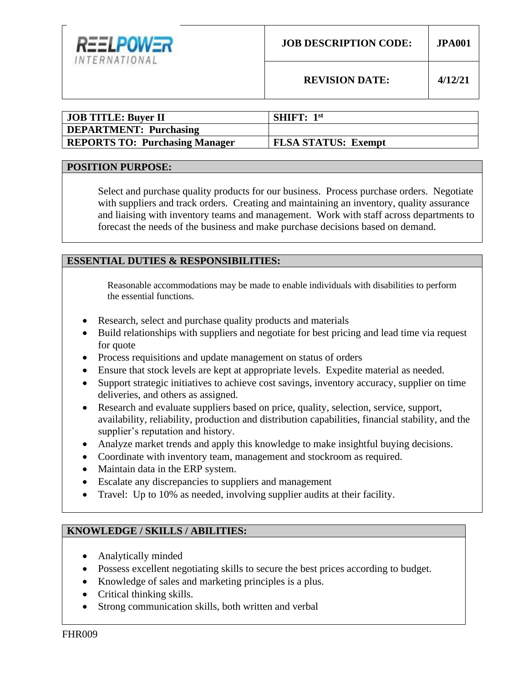

| <b>JOB TITLE: Buyer II</b>            | <b>SHIFT:</b> $1st$        |
|---------------------------------------|----------------------------|
| <b>DEPARTMENT: Purchasing</b>         |                            |
| <b>REPORTS TO: Purchasing Manager</b> | <b>FLSA STATUS: Exempt</b> |

### **POSITION PURPOSE:**

Select and purchase quality products for our business. Process purchase orders. Negotiate with suppliers and track orders. Creating and maintaining an inventory, quality assurance and liaising with inventory teams and management. Work with staff across departments to forecast the needs of the business and make purchase decisions based on demand.

### **ESSENTIAL DUTIES & RESPONSIBILITIES:**

Reasonable accommodations may be made to enable individuals with disabilities to perform the essential functions.

- Research, select and purchase quality products and materials
- Build relationships with suppliers and negotiate for best pricing and lead time via request for quote
- Process requisitions and update management on status of orders
- Ensure that stock levels are kept at appropriate levels. Expedite material as needed.
- Support strategic initiatives to achieve cost savings, inventory accuracy, supplier on time deliveries, and others as assigned.
- Research and evaluate suppliers based on price, quality, selection, service, support, availability, reliability, production and distribution capabilities, financial stability, and the supplier's reputation and history.
- Analyze market trends and apply this knowledge to make insightful buying decisions.
- Coordinate with inventory team, management and stockroom as required.
- Maintain data in the ERP system.
- Escalate any discrepancies to suppliers and management
- Travel: Up to 10% as needed, involving supplier audits at their facility.

# **KNOWLEDGE / SKILLS / ABILITIES:**

- Analytically minded
- Possess excellent negotiating skills to secure the best prices according to budget.
- Knowledge of sales and marketing principles is a plus.
- Critical thinking skills.
- Strong communication skills, both written and verbal